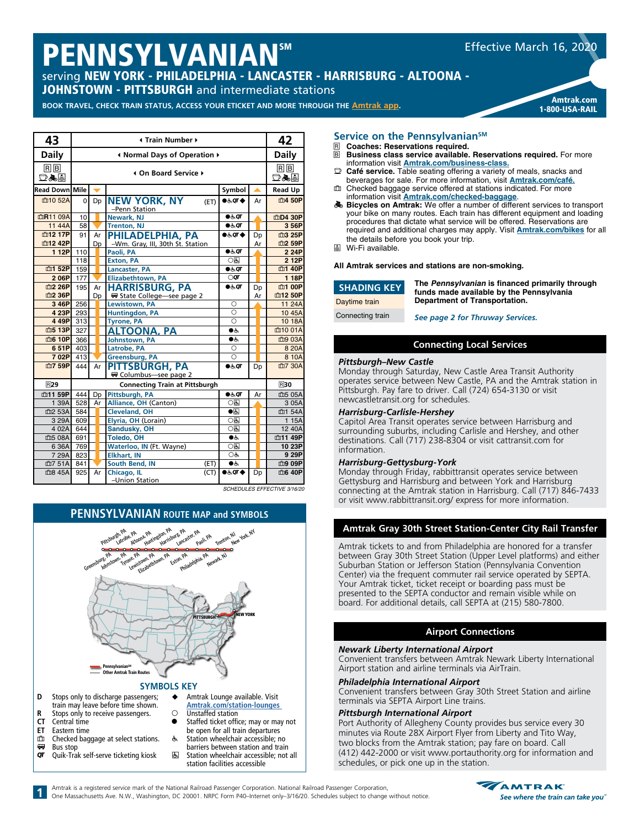# PENNSYLVANIAN™

serving NEW YORK - PHILADELPHIA - LANCASTER - HARRISBURG - ALTOONA - **JOHNSTOWN - PITTSBURGH** and intermediate stations

BOOK TRAVEL, CHECK TRAIN STATUS, ACCESS YOUR ETICKET AND MORE THROUGH THE **[Amtrak app](https://www.amtrak.com/mobile).** 

| Amtrak.com     |
|----------------|
| 1-800-USA-RAIL |
|                |

Effective March 16, 2020

| 43                    |     | 42                           |                                              |                          |    |                                       |  |  |  |
|-----------------------|-----|------------------------------|----------------------------------------------|--------------------------|----|---------------------------------------|--|--|--|
| Daily                 |     | I Normal Days of Operation ▶ |                                              |                          |    |                                       |  |  |  |
| RB<br>口ふ目             |     | 4 On Board Service ▶         |                                              |                          |    |                                       |  |  |  |
| <b>Read Down Mile</b> |     |                              |                                              | Symbol                   |    | <b>Read Up</b>                        |  |  |  |
| 血10 52A               | 0   | Dp                           | <b>NEW YORK, NY</b><br>(ET)<br>-Penn Station | $0.50T$ $\triangle$      | Ar | 血4 50P                                |  |  |  |
| 血R11 09A              | 10  |                              | Newark, NJ                                   | $\bullet$ க்ள            |    | 血D4 30P                               |  |  |  |
| 11 44A                | 58  |                              | <b>Trenton, NJ</b>                           | $\bullet$ க்ர            |    | 3 56P                                 |  |  |  |
| 血12 17P               | 91  | Ar                           | PHILADELPHIA, PA                             | ♦ 70 ه                   | Dp | 血3 25P                                |  |  |  |
| 血12 42P               |     | Dp                           | -Wm. Gray, III, 30th St. Station             |                          | Ar | 血2 59P                                |  |  |  |
| 1 12P                 | 110 |                              | Paoli, PA                                    | 66, qr                   |    | 2 24P                                 |  |  |  |
|                       | 118 |                              | <b>Exton, PA</b>                             | $\circ$                  |    | 2 12P                                 |  |  |  |
| 血1 52P                | 159 |                              | <b>Lancaster, PA</b>                         | 66, qr                   |    | 血1 40P                                |  |  |  |
| 2 06P                 | 177 |                              | <b>Elizabethtown, PA</b>                     | $\circ$ or               |    | 1 18P                                 |  |  |  |
| 血2 26P                | 195 | Ar                           | <b>HARRISBURG, PA</b>                        | $-6.9$                   | Dp | 血1 00P                                |  |  |  |
| 血2 36P                |     | Dp                           | ₩ State College—see page 2                   |                          | Ar | 血12 50P                               |  |  |  |
| 3 46P                 | 256 |                              | Lewistown, PA                                | O                        |    | 11 24A                                |  |  |  |
| 4 23P                 | 293 |                              | <b>Huntingdon, PA</b>                        | $\circ$                  |    | 10 45A                                |  |  |  |
| 4 49P                 | 313 |                              | <b>Tyrone, PA</b>                            | $\circ$                  |    | 10 18A                                |  |  |  |
| 血5 13P                | 327 |                              | <b>ALTOONA, PA</b>                           | $\bullet$                |    | 血10 01A                               |  |  |  |
| <b>血6 10P</b>         | 366 |                              | Johnstown, PA                                | $\bullet$                |    | 血9 03A                                |  |  |  |
| 651P                  | 403 |                              | Latrobe, PA                                  | $\circ$                  |    | 8 20 A                                |  |  |  |
| 702P                  | 413 |                              | Greensburg, PA                               | $\bigcirc$               |    | 8 10A                                 |  |  |  |
| 血7 59P                | 444 | Ar                           | <b>PITTSBURGH, PA</b><br>Columbus-see page 2 | $0.6$ OT                 | Dp | 血7 30A                                |  |  |  |
| <b>R29</b>            |     | <b>R30</b>                   |                                              |                          |    |                                       |  |  |  |
| 血11 59P               | 444 | Dp                           | Pittsburgh, PA                               | 0.50                     | Ar | 血5 05A                                |  |  |  |
| 1 39A                 | 528 | Ar                           | Alliance, OH (Canton)                        | $\overline{OB}$          |    | 3 05A                                 |  |  |  |
| 血2 53A                | 584 |                              | <b>Cleveland, OH</b>                         | $\overline{\bullet}$     |    | 血1 54A                                |  |  |  |
| 3 29A                 | 609 |                              | Elyria, OH (Lorain)                          | O(5)                     |    | 1 15A                                 |  |  |  |
| 4 02A                 | 644 |                              | Sandusky, OH                                 | ाड                       |    | 12 40A                                |  |  |  |
| 血5 08A                | 691 |                              | <b>Toledo, OH</b>                            | $\bullet$                |    | 血11 49P                               |  |  |  |
| 6 36A                 | 769 |                              | Waterloo, IN (Ft. Wayne)                     | O(5)                     |    | 10 23P                                |  |  |  |
| 7 29A                 | 823 |                              | <b>Elkhart, IN</b>                           | OĠ                       |    | 9 29P                                 |  |  |  |
| 血7 51A                | 841 |                              | South Bend, IN<br>(ET)                       | $\bullet$                |    | 血9 09P                                |  |  |  |
| 血8 45A                | 925 | Ar                           | Chicago, IL<br>(CT)<br>-Union Station        | $0.5$ OT $\blacklozenge$ | Dp | 血6 40P<br>COUEDULES EFFECTIVE 2/16/20 |  |  |  |

*SCHEDULES EFFECTIVE 3/16/20*



**1**

- **ET** Eastern time<br> **Checked** bac **n** Checked baggage at select stations.
- $\overline{or}$  Bus stop Quik-Trak self-serve ticketing kiosk
- Staffed ticket office; may or may not be open for all train departures
- w Station wheelchair accessible; no barriers between station and train
	- **图 Station wheelchair accessible; not all** station facilities accessible

#### Service on the Pennsylvanian<sup>SM</sup>

- **R** Coaches: Reservations required.<br>**R** Business class service available.
- **Business class service available. Reservations required.** For more
- information visit **[Amtrak.com/business-class](https://www.amtrak.com/business-class).** y **Café service.** Table seating offering a variety of meals, snacks and beverages for sale. For more information, visit **[Amtrak.com/café](https://www.amtrak.com/onboard/meals-dining/cafe-car.html).**
- th Checked baggage service offered at stations indicated. For more information visit *[Amtrak.com/checked-baggage](https://www.amtrak.com/checked-baggage)*.<br>**Bicycles on Amtrak:** We offer a number of different services to transport
- your bike on many routes. Each train has different equipment and loading procedures that dictate what service will be offered. Reservations are required and additional charges may apply. Visit **[Amtrak.com/bikes](https://www.amtrak.com/bring-your-bicycle-onboard)** for all the details before you book your trip.
- å Wi-Fi available.

**All Amtrak services and stations are non-smoking.**

| <b>SHADING KEY</b> |  |
|--------------------|--|
| Daytime train      |  |

**The Pennsylvanian is financed primarily through funds made available by the Pennsylvania Department of Transportation.**

Connecting train

*See page 2 for Thruway Services.*

## **Connecting Local Services**

#### *Pittsburgh–New Castle*

Monday through Saturday, New Castle Area Transit Authority operates service between New Castle, PA and the Amtrak station in Pittsburgh. Pay fare to driver. Call (724) 654-3130 or visit newcastletransit.org for schedules.

#### *Harrisburg-Carlisle-Hershey*

Capitol Area Transit operates service between Harrisburg and surrounding suburbs, including Carlisle and Hershey, and other destinations. Call (717) 238-8304 or visit cattransit.com for information.

#### *Harrisburg-Gettysburg-York*

Monday through Friday, rabbittransit operates service between Gettysburg and Harrisburg and between York and Harrisburg connecting at the Amtrak station in Harrisburg. Call (717) 846-7433 or visit www.rabbittransit.org/ express for more information.

## **Amtrak Gray 30th Street Station-Center City Rail Transfer**

between Gray 30th Street Station (Upper Level platforms) and either Amtrak tickets to and from Philadelphia are honored for a transfer Suburban Station or Jefferson Station (Pennsylvania Convention Center) via the frequent commuter rail service operated by SEPTA. Your Amtrak ticket, ticket receipt or boarding pass must be presented to the SEPTA conductor and remain visible while on board. For additional details, call SEPTA at (215) 580-7800.

### **Airport Connections**

#### *Newark Liberty International Airport*

Convenient transfers between Amtrak Newark Liberty International Airport station and airline terminals via AirTrain.

#### *Philadelphia International Airport*

**Other Amtrak Train Routes**

Convenient transfers between Gray 30th Street Station and airline terminals via SEPTA Airport Line trains.

#### *Pittsburgh International Airport*

Port Authority of Allegheny County provides bus service every 30 minutes via Route 28X Airport Flyer from Liberty and Tito Way, two blocks from the Amtrak station; pay fare on board. Call (412) 442-2000 or visit www.portauthority.org for information and schedules, or pick one up in the station.

Amtrak is a registered service mark of the National Railroad Passenger Corporation. National Railroad Passenger Corporation,

One Massachusetts Ave. N.W., Washington, DC 20001. NRPC Form P40–Internet only–3/16/20. Schedules subject to change without notice.